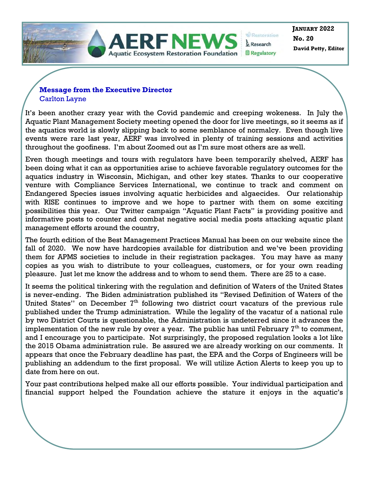

**Restoration** & Research **■ Regulatory** 

**No. 20 JANUARY 2022 David Petty, Editor** 

### **Message from the Executive Director**  Carlton Layne

It's been another crazy year with the Covid pandemic and creeping wokeness. In July the Aquatic Plant Management Society meeting opened the door for live meetings, so it seems as if the aquatics world is slowly slipping back to some semblance of normalcy. Even though live events were rare last year, AERF was involved in plenty of training sessions and activities throughout the goofiness. I'm about Zoomed out as I'm sure most others are as well.

Even though meetings and tours with regulators have been temporarily shelved, AERF has been doing what it can as opportunities arise to achieve favorable regulatory outcomes for the aquatics industry in Wisconsin, Michigan, and other key states. Thanks to our cooperative venture with Compliance Services International, we continue to track and comment on Endangered Species issues involving aquatic herbicides and algaecides. Our relationship with RISE continues to improve and we hope to partner with them on some exciting possibilities this year. Our Twitter campaign "Aquatic Plant Facts" is providing positive and informative posts to counter and combat negative social media posts attacking aquatic plant management efforts around the country,

The fourth edition of the Best Management Practices Manual has been on our website since the fall of 2020. We now have hardcopies available for distribution and we've been providing them for APMS societies to include in their registration packages. You may have as many copies as you wish to distribute to your colleagues, customers, or for your own reading pleasure. Just let me know the address and to whom to send them. There are 25 to a case.

It seems the political tinkering with the regulation and definition of Waters of the United States is never-ending. The Biden administration published its "Revised Definition of Waters of the United States" on December  $7<sup>th</sup>$  following two district court vacaturs of the previous rule published under the Trump administration. While the legality of the vacatur of a national rule by two District Courts is questionable, the Administration is undeterred since it advances the implementation of the new rule by over a year. The public has until February  $T<sup>th</sup>$  to comment, and I encourage you to participate. Not surprisingly, the proposed regulation looks a lot like the 2015 Obama administration rule. Be assured we are already working on our comments. It appears that once the February deadline has past, the EPA and the Corps of Engineers will be publishing an addendum to the first proposal. We will utilize Action Alerts to keep you up to date from here on out.

Your past contributions helped make all our efforts possible. Your individual participation and financial support helped the Foundation achieve the stature it enjoys in the aquatic's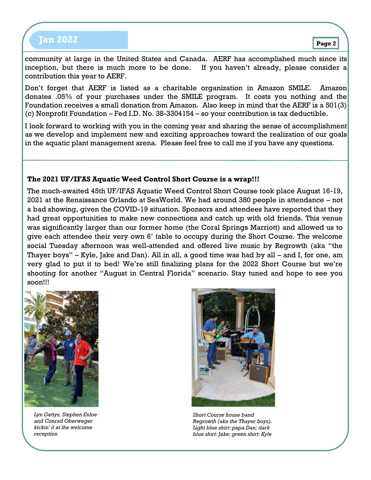# **Page 2 Jan 2022**

community at large in the United States and Canada. AERF has accomplished much since its inception, but there is much more to be done. If you haven't already, please consider a contribution this year to AERF.

Don't forget that AERF is listed as a charitable organization in Amazon SMILE. Amazon donates .05% of your purchases under the SMILE program. It costs you nothing and the Foundation receives a small donation from Amazon. Also keep in mind that the AERF is a 501(3) (c) Nonprofit Foundation – Fed I.D. No. 38-3304154 – so your contribution is tax deductible.

I look forward to working with you in the coming year and sharing the sense of accomplishment as we develop and implement new and exciting approaches toward the realization of our goals in the aquatic plant management arena. Please feel free to call me if you have any questions.

### **The 2021 UF/IFAS Aquatic Weed Control Short Course is a wrap!!!**

The much-awaited 45th UF/IFAS Aquatic Weed Control Short Course took place August 16-19, 2021 at the Renaissance Orlando at SeaWorld. We had around 380 people in attendance – not a bad showing, given the COVID-19 situation. Sponsors and attendees have reported that they had great opportunities to make new connections and catch up with old friends. This venue was significantly larger than our former home (the Coral Springs Marriott) and allowed us to give each attendee their very own 6' table to occupy during the Short Course. The welcome social Tuesday afternoon was well-attended and offered live music by Regrowth (aka "the Thayer boys" – Kyle, Jake and Dan). All in all, a good time was had by all – and I, for one, am very glad to put it to bed! We're still finalizing plans for the 2022 Short Course but we're shooting for another "August in Central Florida" scenario. Stay tuned and hope to see you soon!!!



*Lyn Gettys, Stephen Enloe and Conrad Oberweger kickin' it at the welcome reception* 



*Short Course house band Regrowth (aka the Thayer boys). Light blue shirt: papa Dan; dark blue shirt: Jake; green shirt: Kyle*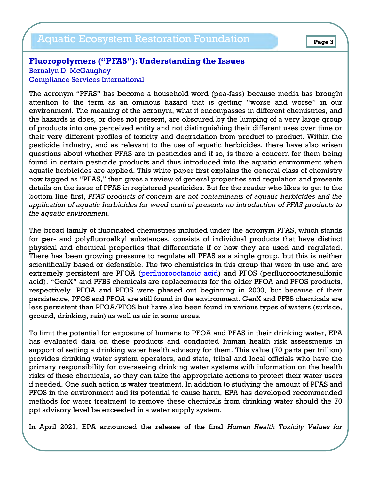## Aquatic Ecosystem Restoration Foundation **Page 3**

### **Fluoropolymers ("PFAS"): Understanding the Issues**

Bernalyn D. McGaughey Compliance Services International

The acronym "PFAS" has become a household word (pea-fass) because media has brought attention to the term as an ominous hazard that is getting "worse and worse" in our environment. The meaning of the acronym, what it encompasses in different chemistries, and the hazards is does, or does not present, are obscured by the lumping of a very large group of products into one perceived entity and not distinguishing their different uses over time or their very different profiles of toxicity and degradation from product to product. Within the pesticide industry, and as relevant to the use of aquatic herbicides, there have also arisen questions about whether PFAS are in pesticides and if so, is there a concern for them being found in certain pesticide products and thus introduced into the aquatic environment when aquatic herbicides are applied. This white paper first explains the general class of chemistry now tagged as "PFAS," then gives a review of general properties and regulation and presents details on the issue of PFAS in registered pesticides. But for the reader who likes to get to the bottom line first, *PFAS products of concern are not contaminants of aquatic herbicides and the application of aquatic herbicides for weed control presents no introduction of PFAS products to the aquatic environment.* 

The broad family of fluorinated chemistries included under the acronym PFAS, which stands for **p**er- and poly**f**luoro**a**lkyl **s**ubstances, consists of individual products that have distinct physical and chemical properties that differentiate if or how they are used and regulated. There has been growing pressure to regulate all PFAS as a single group, but this is neither scientifically based or defensible. The two chemistries in this group that were in use and are extremely persistent are PFOA (perfluorooctanoic acid) and PFOS (perfluorooctanesulfonic acid). "GenX" and PFBS chemicals are replacements for the older PFOA and PFOS products, respectively. PFOA and PFOS were phased out beginning in 2000, but because of their persistence, PFOS and PFOA are still found in the environment. GenX and PFBS chemicals are less persistent than PFOA/PFOS but have also been found in various types of waters (surface, ground, drinking, rain) as well as air in some areas.

To limit the potential for exposure of humans to PFOA and PFAS in their drinking water, EPA has evaluated data on these products and conducted human health risk assessments in support of setting a drinking water health advisory for them. This value (70 parts per trillion) provides drinking water system operators, and state, tribal and local officials who have the primary responsibility for overseeing drinking water systems with information on the health risks of these chemicals, so they can take the appropriate actions to protect their water users if needed. One such action is water treatment. In addition to studying the amount of PFAS and PFOS in the environment and its potential to cause harm, EPA has developed recommended methods for water treatment to remove these chemicals from drinking water should the 70 ppt advisory level be exceeded in a water supply system.

In April 2021, EPA announced the release of the final *Human Health Toxicity Values for*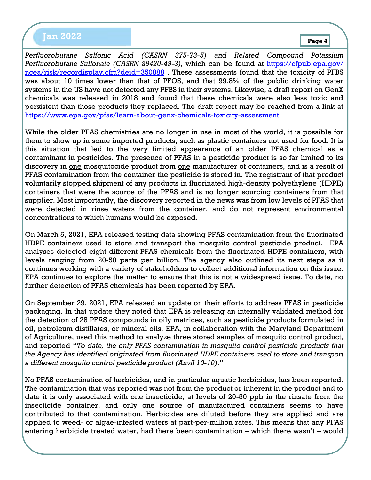# **Page 4 Jan 2022**

*Perfluorobutane Sulfonic Acid (CASRN 375-73-5) and Related Compound Potassium Perfluorobutane Sulfonate (CASRN 29420-49-3),* which can be found at [https://cfpub.epa.gov/](https://cfpub.epa.gov/ncea/risk/recordisplay.cfm?deid=350888) [ncea/risk/recordisplay.cfm?deid=350888](https://cfpub.epa.gov/ncea/risk/recordisplay.cfm?deid=350888) . These assessments found that the toxicity of PFBS was about 10 times lower than that of PFOS, and that 99.8% of the public drinking water systems in the US have not detected any PFBS in their systems. Likewise, a draft report on GenX chemicals was released in 2018 and found that these chemicals were also less toxic and persistent than those products they replaced. The draft report may be reached from a link at [https://www.epa.gov/pfas/learn-about-genx-chemicals-toxicity-assessment.](https://www.epa.gov/pfas/learn-about-genx-chemicals-toxicity-assessment)

While the older PFAS chemistries are no longer in use in most of the world, it is possible for them to show up in some imported products, such as plastic containers not used for food. It is this situation that led to the very limited appearance of an older PFAS chemical as a contaminant in pesticides. The presence of PFAS in a pesticide product is so far limited to its discovery in one mosquitocide product from one manufacturer of containers, and is a result of PFAS contamination from the container the pesticide is stored in. The registrant of that product voluntarily stopped shipment of any products in fluorinated high-density polyethylene (HDPE) containers that were the source of the PFAS and is no longer sourcing containers from that supplier. Most importantly, the discovery reported in the news was from low levels of PFAS that were detected in rinse waters from the container, and do not represent environmental concentrations to which humans would be exposed.

On March 5, 2021, EPA released testing data showing PFAS contamination from the fluorinated HDPE containers used to store and transport the mosquito control pesticide product. EPA analyses detected eight different PFAS chemicals from the fluorinated HDPE containers, with levels ranging from 20-50 parts per billion. The agency also outlined its next steps as it continues working with a variety of stakeholders to collect additional information on this issue. EPA continues to explore the matter to ensure that this is not a widespread issue. To date, no further detection of PFAS chemicals has been reported by EPA.

On September 29, 2021, EPA released an update on their efforts to address PFAS in pesticide packaging. In that update they noted that EPA is releasing an internally validated method for the detection of 28 PFAS compounds in oily matrices, such as pesticide products formulated in oil, petroleum distillates, or mineral oils. EPA, in collaboration with the Maryland Department of Agriculture, used this method to analyze three stored samples of mosquito control product, and reported "*To date, the only PFAS contamination in mosquito control pesticide products that the Agency has identified originated from fluorinated HDPE containers used to store and transport a different mosquito control pesticide product (Anvil 10-10)*."

No PFAS contamination of herbicides, and in particular aquatic herbicides, has been reported. The contamination that was reported was not from the product or inherent in the product and to date it is only associated with one insecticide, at levels of 20-50 ppb in the rinsate from the insecticide container, and only one source of manufactured containers seems to have contributed to that contamination. Herbicides are diluted before they are applied and are applied to weed- or algae-infested waters at part-per-million rates. This means that any PFAS entering herbicide treated water, had there been contamination – which there wasn't – would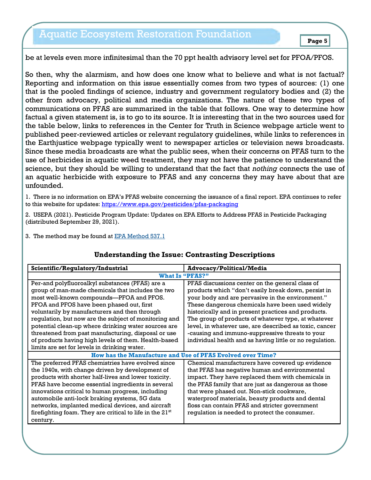# Aquatic Ecosystem Restoration Foundation

be at levels even more infinitesimal than the 70 ppt health advisory level set for PFOA/PFOS.

So then, why the alarmism, and how does one know what to believe and what is not factual? Reporting and information on this issue essentially comes from two types of sources: (1) one that is the pooled findings of science, industry and government regulatory bodies and (2) the other from advocacy, political and media organizations. The nature of these two types of communications on PFAS are summarized in the table that follows. One way to determine how factual a given statement is, is to go to its source. It is interesting that in the two sources used for the table below, links to references in the Center for Truth in Science webpage article went to published peer-reviewed articles or relevant regulatory guidelines, while links to references in the Earthjustice webpage typically went to newspaper articles or television news broadcasts. Since these media broadcasts are what the public sees, when their concerns on PFAS turn to the use of herbicides in aquatic weed treatment, they may not have the patience to understand the science, but they should be willing to understand that the fact that *nothing* connects the use of an aquatic herbicide with exposure to PFAS and any concerns they may have about that are unfounded.

1. There is no information on EPA's PFAS website concerning the issuance of a final report. EPA continues to refer to this website for updates: https://www.epa.gov/pesticides/pfas-packaging

2. USEPA (2021). Pesticide Program Update: Updates on EPA Efforts to Address PFAS in Pesticide Packaging (distributed September 29, 2021).

3. The method may be found at [EPA Method 537.1](https://lnks.gd/l/eyJhbGciOiJIUzI1NiJ9.eyJidWxsZXRpbl9saW5rX2lkIjoxMDYsInVyaSI6ImJwMjpjbGljayIsImJ1bGxldGluX2lkIjoiMjAyMTA5MjkuNDY2NDA0NDEiLCJ1cmwiOiJodHRwczovL2NmcHViLmVwYS5nb3Yvc2kvc2lfcHVibGljX3JlY29yZF9SZXBvcnQuY2ZtP2RpckVudHJ5SWQ9MzQzMDQyJkxhYj1ORVJMIn0.) 

| Scientific/Regulatory/Industrial                           | <b>Advocacy/Political/Media</b>                            |  |
|------------------------------------------------------------|------------------------------------------------------------|--|
| <b>What Is "PFAS?"</b>                                     |                                                            |  |
| Per-and polyfluoroalkyl substances (PFAS) are a            | PFAS discussions center on the general class of            |  |
| group of man-made chemicals that includes the two          | products which "don't easily break down, persist in        |  |
| most well-known compounds—PFOA and PFOS.                   | your body and are pervasive in the environment."           |  |
| PFOA and PFOS have been phased out, first                  | These dangerous chemicals have been used widely            |  |
| voluntarily by manufacturers and then through              | historically and in present practices and products.        |  |
| regulation, but now are the subject of monitoring and      | The group of products of whatever type, at whatever        |  |
| potential clean-up where drinking water sources are        | level, in whatever use, are described as toxic, cancer     |  |
| threatened from past manufacturing, disposal or use        | -causing and immuno-suppressive threats to your            |  |
| of products having high levels of them. Health-based       | individual health and as having little or no regulation.   |  |
| limits are set for levels in drinking water.               |                                                            |  |
|                                                            | How has the Manufacture and Use of PFAS Evolved over Time? |  |
| The preferred PFAS chemistries have evolved since          | Chemical manufacturers have covered up evidence            |  |
| the 1940s, with change driven by development of            | that PFAS has negative human and environmental             |  |
| products with shorter half-lives and lower toxicity.       | impact. They have replaced them with chemicals in          |  |
| PFAS have become essential ingredients in several          | the PFAS family that are just as dangerous as those        |  |
| innovations critical to human progress, including          | that were phased out. Non-stick cookware,                  |  |
| automobile anti-lock braking systems, 5G data              | waterproof materials, beauty products and dental           |  |
| networks, implanted medical devices, and aircraft          | floss can contain PFAS and stricter government             |  |
| firefighting foam. They are critical to life in the $21st$ | regulation is needed to protect the consumer.              |  |
| century.                                                   |                                                            |  |

### **Understanding the Issue: Contrasting Descriptions**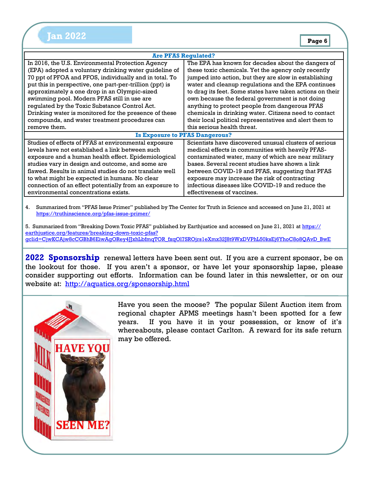|  | . . |  |
|--|-----|--|
|  |     |  |

| <b>Are PFAS Regulated?</b>                              |                                                           |  |
|---------------------------------------------------------|-----------------------------------------------------------|--|
| In 2016, the U.S. Environmental Protection Agency       | The EPA has known for decades about the dangers of        |  |
| (EPA) adopted a voluntary drinking water guideline of   | these toxic chemicals. Yet the agency only recently       |  |
| 70 ppt of PFOA and PFOS, individually and in total. To  | jumped into action, but they are slow in establishing     |  |
| put this in perspective, one part-per-trillion (ppt) is | water and cleanup regulations and the EPA continues       |  |
| approximately a one drop in an Olympic-sized            | to drag its feet. Some states have taken actions on their |  |
| swimming pool. Modern PFAS still in use are             | own because the federal government is not doing           |  |
| regulated by the Toxic Substance Control Act.           | anything to protect people from dangerous PFAS            |  |
| Drinking water is monitored for the presence of these   | chemicals in drinking water. Citizens need to contact     |  |
| compounds, and water treatment procedures can           | their local political representatives and alert them to   |  |
| remove them.                                            | this serious health threat.                               |  |
| <b>Is Exposure to PFAS Dangerous?</b>                   |                                                           |  |
| Studies of effects of PFAS at environmental exposure    | Scientists have discovered unusual clusters of serious    |  |
| levels have not established a link between such         | medical effects in communities with heavily PFAS-         |  |
| exposure and a human health effect. Epidemiological     | contaminated water, many of which are near military       |  |
| studies vary in design and outcome, and some are        | bases. Several recent studies have shown a link           |  |
| flawed. Results in animal studies do not translate well | between COVID-19 and PFAS, suggesting that PFAS           |  |
| to what might be expected in humans. No clear           | exposure may increase the risk of contracting             |  |
| connection of an effect potentially from an exposure to | infectious diseases like COVID-19 and reduce the          |  |
| environmental concentrations exists.                    | effectiveness of vaccines.                                |  |

4. Summarized from "PFAS Issue Primer" published by The Center for Truth in Science and accessed on June 21, 2021 at <https://truthinscience.org/pfas-issue-primer/>

5. Summarized from "Breaking Down Toxic PFAS" published by Earthjustice and accessed on June 21, 2021 at [https://](https://earthjustice.org/features/breaking-down-toxic-pfas?gclid=CjwKCAjw8cCGBhB6EiwAgORey4JJxhLbfmqTOR_fxqOl7SROjrs1eXmx32J8t9WxDVPhL50ksEj6YhoC8o8QAvD_BwE) [earthjustice.org/features/breaking-down-toxic-pfas?](https://earthjustice.org/features/breaking-down-toxic-pfas?gclid=CjwKCAjw8cCGBhB6EiwAgORey4JJxhLbfmqTOR_fxqOl7SROjrs1eXmx32J8t9WxDVPhL50ksEj6YhoC8o8QAvD_BwE) [gclid=CjwKCAjw8cCGBhB6EiwAgORey4JJxhLbfmqTOR\\_fxqOl7SROjrs1eXmx32J8t9WxDVPhL50ksEj6YhoC8o8QAvD\\_BwE](https://earthjustice.org/features/breaking-down-toxic-pfas?gclid=CjwKCAjw8cCGBhB6EiwAgORey4JJxhLbfmqTOR_fxqOl7SROjrs1eXmx32J8t9WxDVPhL50ksEj6YhoC8o8QAvD_BwE)

**2022 Sponsorship** renewal letters have been sent out. If you are a current sponsor, be on the lookout for those. If you aren't a sponsor, or have let your sponsorship lapse, please consider supporting out efforts. Information can be found later in this newsletter, or on our website at: <http://aquatics.org/sponsorship.html>



Have you seen the moose? The popular Silent Auction item from regional chapter APMS meetings hasn't been spotted for a few years. If you have it in your possession, or know of it's whereabouts, please contact Carlton. A reward for its safe return may be offered.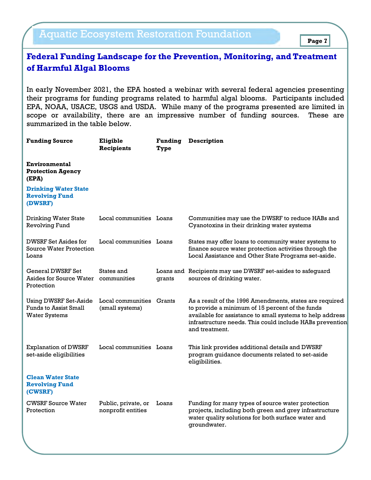# Aquatic Ecosystem Restoration Foundation

## **Federal Funding Landscape for the Prevention, Monitoring, and Treatment of Harmful Algal Blooms**

In early November 2021, the EPA hosted a webinar with several federal agencies presenting their programs for funding programs related to harmful algal blooms. Participants included EPA, NOAA, USACE, USGS and USDA. While many of the programs presented are limited in scope or availability, there are an impressive number of funding sources. These are summarized in the table below.

| Eligible<br><b>Recipients</b>                        | <b>Funding</b><br>Type | <b>Description</b>                                                                                                                                                                                                                                    |
|------------------------------------------------------|------------------------|-------------------------------------------------------------------------------------------------------------------------------------------------------------------------------------------------------------------------------------------------------|
|                                                      |                        |                                                                                                                                                                                                                                                       |
|                                                      |                        |                                                                                                                                                                                                                                                       |
|                                                      |                        | Communities may use the DWSRF to reduce HABs and<br>Cyanotoxins in their drinking water systems                                                                                                                                                       |
|                                                      |                        | States may offer loans to community water systems to<br>finance source water protection activities through the<br>Local Assistance and Other State Programs set-aside.                                                                                |
| States and<br>Asides for Source Water<br>communities | grants                 | Loans and Recipients may use DWSRF set-asides to safeguard<br>sources of drinking water.                                                                                                                                                              |
| Local communities<br>(small systems)                 | Grants                 | As a result of the 1996 Amendments, states are required<br>to provide a minimum of 15 percent of the funds<br>available for assistance to small systems to help address<br>infrastructure needs. This could include HABs prevention<br>and treatment. |
|                                                      |                        | This link provides additional details and DWSRF<br>program guidance documents related to set-aside<br>eligibilities.                                                                                                                                  |
|                                                      |                        |                                                                                                                                                                                                                                                       |
| Public, private, or<br>nonprofit entities            | Loans                  | Funding for many types of source water protection<br>projects, including both green and grey infrastructure<br>water quality solutions for both surface water and<br>groundwater.                                                                     |
|                                                      |                        | Local communities Loans<br>Local communities Loans<br>Local communities Loans                                                                                                                                                                         |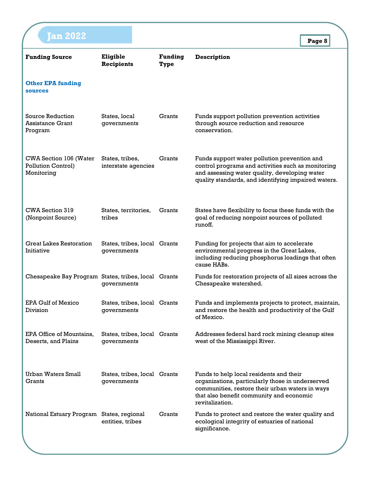| <b>an 2022</b>                                             |                                             |                        |                                                                                                                                                                                                               | Page 8 |
|------------------------------------------------------------|---------------------------------------------|------------------------|---------------------------------------------------------------------------------------------------------------------------------------------------------------------------------------------------------------|--------|
| <b>Funding Source</b>                                      | Eligible<br><b>Recipients</b>               | <b>Funding</b><br>Type | <b>Description</b>                                                                                                                                                                                            |        |
| <b>Other EPA funding</b><br><b>sources</b>                 |                                             |                        |                                                                                                                                                                                                               |        |
| Source Reduction<br>Assistance Grant<br>Program            | States, local<br>governments                | Grants                 | Funds support pollution prevention activities<br>through source reduction and resource<br>conservation.                                                                                                       |        |
| CWA Section 106 (Water<br>Pollution Control)<br>Monitoring | States, tribes,<br>interstate agencies      | Grants                 | Funds support water pollution prevention and<br>control programs and activities such as monitoring<br>and assessing water quality, developing water<br>quality standards, and identifying impaired waters.    |        |
| CWA Section 319<br>(Nonpoint Source)                       | States, territories,<br>tribes              | Grants                 | States have flexibility to focus these funds with the<br>goal of reducing nonpoint sources of polluted<br>runoff.                                                                                             |        |
| <b>Great Lakes Restoration</b><br>Initiative               | States, tribes, local Grants<br>governments |                        | Funding for projects that aim to accelerate<br>environmental progress in the Great Lakes,<br>including reducing phosphorus loadings that often<br>cause HABs.                                                 |        |
| Chesapeake Bay Program States, tribes, local Grants        | governments                                 |                        | Funds for restoration projects of all sizes across the<br>Chesapeake watershed.                                                                                                                               |        |
| EPA Gulf of Mexico<br><b>Division</b>                      | States, tribes, local Grants<br>governments |                        | Funds and implements projects to protect, maintain,<br>and restore the health and productivity of the Gulf<br>of Mexico.                                                                                      |        |
| EPA Office of Mountains,<br>Deserts, and Plains            | States, tribes, local Grants<br>governments |                        | Addresses federal hard rock mining cleanup sites<br>west of the Mississippi River.                                                                                                                            |        |
| Urban Waters Small<br>Grants                               | States, tribes, local Grants<br>governments |                        | Funds to help local residents and their<br>organizations, particularly those in underserved<br>communities, restore their urban waters in ways<br>that also benefit community and economic<br>revitalization. |        |
| National Estuary Program States, regional                  | entities, tribes                            | Grants                 | Funds to protect and restore the water quality and<br>ecological integrity of estuaries of national<br>significance.                                                                                          |        |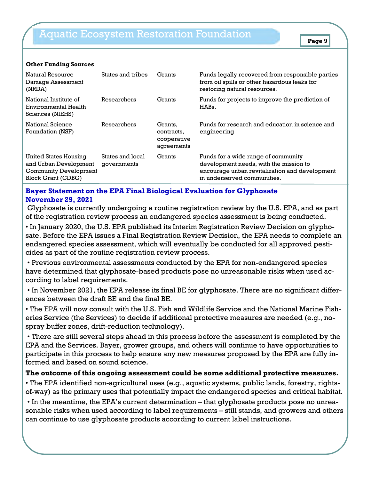| Natural Resource<br>Damage Assessment<br>(NRDA)                                                             | States and tribes               | Grants                                             | Funds legally recovered from responsible parties<br>from oil spills or other hazardous leaks for<br>restoring natural resources.                               |
|-------------------------------------------------------------------------------------------------------------|---------------------------------|----------------------------------------------------|----------------------------------------------------------------------------------------------------------------------------------------------------------------|
| National Institute of<br>Environmental Health<br>Sciences (NIEHS)                                           | Researchers                     | Grants                                             | Funds for projects to improve the prediction of<br>HABs.                                                                                                       |
| National Science<br>Foundation (NSF)                                                                        | Researchers                     | Grants,<br>contracts,<br>cooperative<br>agreements | Funds for research and education in science and<br>engineering                                                                                                 |
| United States Housing<br>and Urban Development<br><b>Community Development</b><br><b>Block Grant (CDBG)</b> | States and local<br>governments | Grants                                             | Funds for a wide range of community<br>development needs, with the mission to<br>encourage urban revitalization and development<br>in underserved communities. |

#### **Other Funding Sources**

### **Bayer Statement on the EPA Final Biological Evaluation for Glyphosate November 29, 2021**

Glyphosate is currently undergoing a routine registration review by the U.S. EPA, and as part of the registration review process an endangered species assessment is being conducted.

• In January 2020, the U.S. EPA published its Interim Registration Review Decision on glyphosate. Before the EPA issues a Final Registration Review Decision, the EPA needs to complete an endangered species assessment, which will eventually be conducted for all approved pesticides as part of the routine registration review process.

• Previous environmental assessments conducted by the EPA for non-endangered species have determined that glyphosate-based products pose no unreasonable risks when used according to label requirements.

• In November 2021, the EPA release its final BE for glyphosate. There are no significant differences between the draft BE and the final BE.

• The EPA will now consult with the U.S. Fish and Wildlife Service and the National Marine Fisheries Service (the Services) to decide if additional protective measures are needed (e.g., nospray buffer zones, drift-reduction technology).

• There are still several steps ahead in this process before the assessment is completed by the EPA and the Services. Bayer, grower groups, and others will continue to have opportunities to participate in this process to help ensure any new measures proposed by the EPA are fully informed and based on sound science.

### **The outcome of this ongoing assessment could be some additional protective measures.**

• The EPA identified non-agricultural uses (e.g., aquatic systems, public lands, forestry, rightsof-way) as the primary uses that potentially impact the endangered species and critical habitat.

• In the meantime, the EPA's current determination – that glyphosate products pose no unreasonable risks when used according to label requirements – still stands, and growers and others can continue to use glyphosate products according to current label instructions.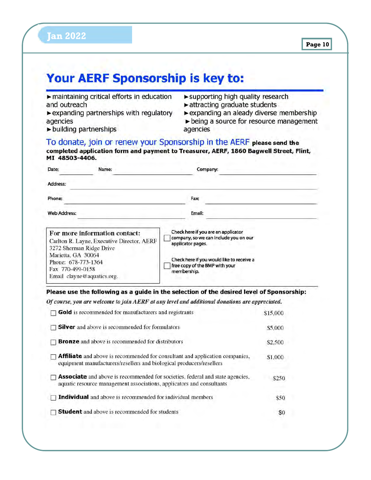#### Your AERF Sponsorship is key to:  $\blacktriangleright$  maintaining critical efforts in education supporting high quality research and outreach  $\blacktriangleright$  attracting graduate students  $\blacktriangleright$  expanding partnerships with regulatory  $\triangleright$  expanding an aleady diverse membership  $\triangleright$  being a source for resource management agencies  $\blacktriangleright$  building partnerships agencies To donate, join or renew your Sponsorship in the AERF please send the completed application form and payment to Treasurer, AERF, 1860 Bagwell Street, Flint, MI 48503-4406. Date: Name: Company: Address: Phone: Fax: **Web Address:** Email: Check here if you are an applicator For more information contact: company, so we can include you on our Carlton R. Layne, Executive Director, AERF applicator pages. 3272 Sherman Ridge Drive Marietta, GA 30064 Check here if you would like to receive a Phone: 678-773-1364 free copy of the BMP with your Fax 770-499-0158 membership. Email clayne@aquatics.org. Please use the following as a guide in the selection of the desired level of Sponsorship: Of course, you are welcome to join AERF at any level and additional donations are appreciated.  $\Box$  Gold is recommended for manufacturers and registrants \$15,000  $\Box$  Silver and above is recommended for formulators \$5,000  $\Box$  **Bronze** and above is recommended for distributors \$2,500  $\Box$  **Affiliate** and above is recommended for consultant and application companies, \$1,000 equipment manufacturers/resellers and biological producers/resellers  $\Box$  **Associate** and above is recommended for societies, federal and state agencies, \$250 aquatic resource management associations, applicators and consultants  $\Box$  Individual and above is recommended for individual members \$50  $\Box$  Student and above is recommended for students \$0